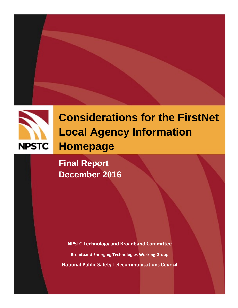



# **Considerations for the FirstNet Local Agency Information Homepage**

**Final Report December 2016**

**NPSTC Technology and Broadband Committee Broadband Emerging Technologies Working Group National Public Safety Telecommunications Council**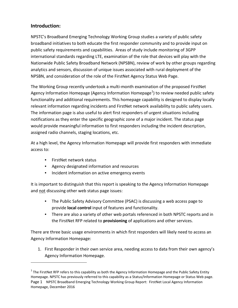# **Introduction:**

NPSTC's Broadband Emerging Technology Working Group studies a variety of public safety broadband initiatives to both educate the first responder community and to provide input on public safety requirements and capabilities. Areas of study include monitoring of 3GPP international standards regarding LTE, examination of the role that devices will play with the Nationwide Public Safety Broadband Network (NPSBN), review of work by other groups regarding analytics and sensors, discussion of unique issues associated with rural deployment of the NPSBN, and consideration of the role of the FirstNet Agency Status Web Page.

The Working Group recently undertook a multi-month examination of the proposed FirstNet Agency Information Homepage (Agency Information Homepage<sup>[1](#page-1-0)</sup>) to review needed public safety functionality and additional requirements. This homepage capability is designed to display locally relevant information regarding incidents and FirstNet network availability to public safety users. The information page is also useful to alert first responders of urgent situations including notifications as they enter the specific geographic zone of a major incident. The status page would provide meaningful information to first responders including the incident description, assigned radio channels, staging locations, etc.

At a high level, the Agency Information Homepage will provide first responders with immediate access to:

• FirstNet network status

 $\overline{\phantom{a}}$ 

- Agency designated information and resources
- Incident information on active emergency events

It is important to distinguish that this report is speaking to the Agency Information Homepage and not discussing other web status page issues:

- The Public Safety Advisory Committee (PSAC) is discussing a web access page to provide **local control** input of features and functionality.
- There are also a variety of other web portals referenced in both NPSTC reports and in the FirstNet RFP related to **provisioning** of applications and other services.

There are three basic usage environments in which first responders will likely need to access an Agency Information Homepage:

1. First Responder in their own service area, needing access to data from their own agency's Agency Information Homepage.

<span id="page-1-0"></span>Page 1 NPSTC Broadband Emerging Technology Working Group Report: FirstNet Local Agency Information Homepage, December 2016  $1$  The FirstNet RFP refers to this capability as both the Agency Information Homepage and the Public Safety Entity Homepage. NPSTC has previously referred to this capability as a Status/Information Homepage or Status Web page.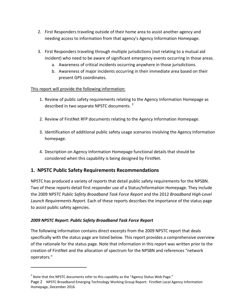- 2. First Responders traveling outside of their home area to assist another agency and needing access to information from that agency's Agency Information Homepage.
- 3. First Responders traveling through multiple jurisdictions (not relating to a mutual aid incident) who need to be aware of significant emergency events occurring in those areas.
	- a. Awareness of critical incidents occurring anywhere in those jurisdictions.
	- b. Awareness of major incidents occurring in their immediate area based on their present GPS coordinates.

#### This report will provide the following information:

- 1. Review of public safety requirements relating to the Agency Information Homepage as described in two separate NPSTC documents.<sup>[2](#page-2-0)</sup>
- 2. Review of FirstNet RFP documents relating to the Agency Information Homepage.
- 3. Identification of additional public safety usage scenarios involving the Agency Information homepage.
- 4. Description on Agency Information Homepage functional details that should be considered when this capability is being designed by FirstNet.

# **1. NPSTC Public Safety Requirements Recommendations**

NPSTC has produced a variety of reports that detail public safety requirements for the NPSBN. Two of these reports detail first responder use of a Status/Information Homepage. They include the 2009 *NPSTC Public Safety Broadband Task Force Report* and the 2012 *Broadband High-Level Launch Requirements Report.* Each of these reports describes the importance of the status page to assist public safety agencies.

#### *2009 NPSTC Report: Public Safety Broadband Task Force Report*

 $\overline{\phantom{a}}$ 

The following information contains direct excerpts from the 2009 NPSTC report that deals specifically with the status page are listed below. This report provides a comprehensive overview of the rationale for the status page. Note that information in this report was written prior to the creation of FirstNet and the allocation of spectrum for the NPSBN and references "network operators."

<span id="page-2-0"></span> $2$  Note that the NPSTC documents refer to this capabilty as the "Agency Status Web Page."

Page 2 NPSTC Broadband Emerging Technology Working Group Report: FirstNet Local Agency Information Homepage, December 2016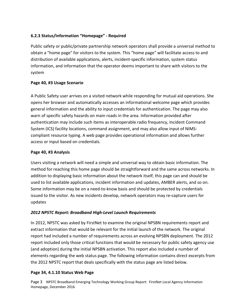#### **6.2.3 Status/Information "Homepage" - Required**

Public safety or public/private partnership network operators shall provide a universal method to obtain a "home page" for visitors to the system. This "home page" will facilitate access to and distribution of available applications, alerts, incident-specific information, system status information, and information that the operator deems important to share with visitors to the system

#### **Page 40, #3 Usage Scenario**

A Public Safety user arrives on a visited network while responding for mutual aid operations. She opens her browser and automatically accesses an informational welcome page which provides general information and the ability to input credentials for authentication. The page may also warn of specific safety hazards on main roads in the area. Information provided after authentication may include such items as interoperable radio frequency, Incident Command System (ICS) facility locations, command assignment, and may also allow input of NIMScompliant resource typing. A web page provides operational information and allows further access or input based on credentials.

#### **Page 40, #3 Analysis**

Users visiting a network will need a simple and universal way to obtain basic information. The method for reaching this home page should be straightforward and the same across networks. In addition to displaying basic information about the network itself, this page can and should be used to list available applications, incident information and updates, AMBER alerts, and so on. Some information may be on a need-to-know basis and should be protected by credentials issued to the visitor. As new incidents develop, network operators may re-capture users for updates

#### *2012 NPSTC Report: Broadband High-Level Launch Requirements*

In 2012, NPSTC was asked by FirstNet to examine the original NPSBN requirements report and extract information that would be relevant for the initial launch of the network. The original report had included a number of requirements across an evolving NPSBN deployment. The 2012 report included only those critical functions that would be necessary for public safety agency use (and adoption) during the initial NPSBN activation. This report also included a number of elements regarding the web status page. The following information contains direct excerpts from the 2012 NPSTC report that deals specifically with the status page are listed below.

#### **Page 34, 4.1.10 Status Web Page**

Page 3 NPSTC Broadband Emerging Technology Working Group Report: FirstNet Local Agency Information Homepage, December 2016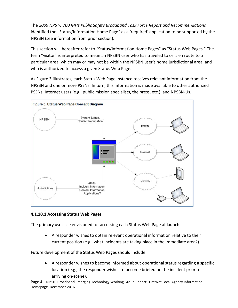The *2009 NPSTC 700 MHz Public Safety Broadband Task Force Report and Recommendations*  identified the "Status/Information Home Page" as a 'required' application to be supported by the NPSBN (see information from prior section).

This section will hereafter refer to "Status/Information Home Pages" as "Status Web Pages." The term "visitor" is interpreted to mean an NPSBN user who has traveled to or is en route to a particular area, which may or may not be within the NPSBN user's home jurisdictional area, and who is authorized to access a given Status Web Page.

As Figure 3 illustrates, each Status Web Page instance receives relevant information from the NPSBN and one or more PSENs. In turn, this information is made available to other authorized PSENs, Internet users (e.g., public mission specialists, the press, etc.), and NPSBN-Us.



#### **4.1.10.1 Accessing Status Web Pages**

The primary use case envisioned for accessing each Status Web Page at launch is:

• A responder wishes to obtain relevant operational information relative to their current position (e.g., what incidents are taking place in the immediate area?).

Future development of the Status Web Pages should include:

• A responder wishes to become informed about operational status regarding a specific location (e.g., the responder wishes to become briefed on the incident prior to arriving on-scene).

Page 4 NPSTC Broadband Emerging Technology Working Group Report: FirstNet Local Agency Information Homepage, December 2016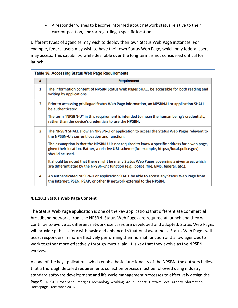• A responder wishes to become informed about network status relative to their current position, and/or regarding a specific location.

Different types of agencies may wish to deploy their own Status Web Page instances. For example, federal users may wish to have their own Status Web Page, which only federal users may access. This capability, while desirable over the long term, is not considered critical for launch.

| <b>Table 36. Accessing Status Web Page Requirements</b> |                                                                                                                                                                                                                 |
|---------------------------------------------------------|-----------------------------------------------------------------------------------------------------------------------------------------------------------------------------------------------------------------|
| #                                                       | <b>Requirement</b>                                                                                                                                                                                              |
| 1                                                       | The information content of NPSBN Status Web Pages SHALL be accessible for both reading and<br>writing by applications.                                                                                          |
| $\overline{2}$                                          | Prior to accessing privileged Status Web Page information, an NPSBN-U or application SHALL<br>be authenticated.                                                                                                 |
|                                                         | The term "NPSBN-U" in this requirement is intended to mean the human being's credentials,<br>rather than the device's credentials to use the NPSBN.                                                             |
| 3                                                       | The NPSBN SHALL allow an NPSBN-U or application to access the Status Web Pages relevant to<br>the NPSBN-U's current location and function.                                                                      |
|                                                         | The assumption is that the NPSBN-U is not required to know a specific address for a web page,<br>given their location. Rather, a relative URL scheme (for example, https://local.police.gov)<br>should be used. |
|                                                         | It should be noted that there might be many Status Web Pages governing a given area, which<br>are differentiated by the NPSBN-U's function (e.g., police, fire, EMS, federal, etc.).                            |
| 4                                                       | An authenticated NPSBN-U or application SHALL be able to access any Status Web Page from<br>the Internet, PSEN, PSAP, or other IP network external to the NPSBN.                                                |

#### **4.1.10.2 Status Web Page Content**

The Status Web Page application is one of the key applications that differentiate commercial broadband networks from the NPSBN. Status Web Pages are required at launch and they will continue to evolve as different network use cases are developed and adopted. Status Web Pages will provide public safety with basic and enhanced situational awareness. Status Web Pages will assist responders in more effectively performing their normal function and allow agencies to work together more effectively through mutual aid. It is key that they evolve as the NPSBN evolves.

Page 5 NPSTC Broadband Emerging Technology Working Group Report: FirstNet Local Agency Information Homepage, December 2016 As one of the key applications which enable basic functionality of the NPSBN, the authors believe that a thorough detailed requirements collection process must be followed using industry standard software development and life cycle management processes to effectively design the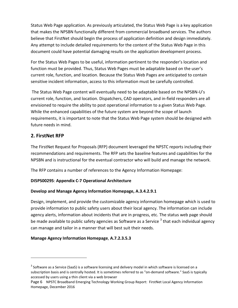Status Web Page application. As previously articulated, the Status Web Page is a key application that makes the NPSBN functionally different from commercial broadband services. The authors believe that FirstNet should begin the process of application definition and design immediately. Any attempt to include detailed requirements for the content of the Status Web Page in this document could have potential damaging results on the application development process.

For the Status Web Pages to be useful, information pertinent to the responder's location and function must be provided. Thus, Status Web Pages must be adaptable based on the user's current role, function, and location. Because the Status Web Pages are anticipated to contain sensitive incident information, access to this information must be carefully controlled.

The Status Web Page content will eventually need to be adaptable based on the NPSBN-U's current role, function, and location. Dispatchers, CAD operators, and in-field responders are all envisioned to require the ability to post operational information to a given Status Web Page. While the enhanced capabilities of the future system are beyond the scope of launch requirements, it is important to note that the Status Web Page system should be designed with future needs in mind.

# **2. FirstNet RFP**

l

The FirstNet Request for Proposals (RFP) document leveraged the NPSTC reports including their recommendations and requirements. The RFP sets the baseline features and capabilities for the NPSBN and is instructional for the eventual contractor who will build and manage the network.

The RFP contains a number of references to the Agency Information Homepage:

## **DI5PS00295**: **Appendix C-7 Operational Architecture**

#### **Develop and Manage Agency Information Homepage, A.3.4.2.9.1**

Design, implement, and provide the customizable agency information homepage which is used to provide information to public safety users about their local agency. The information can include agency alerts, information about incidents that are in progress, etc. The status web page should be made available to public safety agencies as Software as a Service  $3$  that each individual agency can manage and tailor in a manner that will best suit their needs.

## **Manage Agency Information Homepage**, **A.7.2.3.5.3**

<span id="page-6-0"></span> $3$  Software as a Service (SaaS) is a software licensing and delivery model in which software is licensed on a subscription basis and is centrally hosted. It is sometimes referred to as "on-demand software." SaaS is typically accessed by users using a thin client via a web browser

Page 6 NPSTC Broadband Emerging Technology Working Group Report: FirstNet Local Agency Information Homepage, December 2016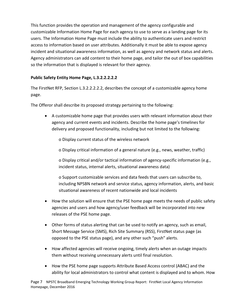This function provides the operation and management of the agency configurable and customizable Information Home Page for each agency to use to serve as a landing page for its users. The Information Home Page must include the ability to authenticate users and restrict access to information based on user attributes. Additionally it must be able to expose agency incident and situational awareness information, as well as agency and network status and alerts. Agency administrators can add content to their home page, and tailor the out of box capabilities so the information that is displayed is relevant for their agency.

# **Public Safety Entity Home Page, L.3.2.2.2.2.2**

The FirstNet RFP, Section L.3.2.2.2.2.2, describes the concept of a customizable agency home page.

The Offeror shall describe its proposed strategy pertaining to the following:

- A customizable home page that provides users with relevant information about their agency and current events and incidents. Describe the home page's timelines for delivery and proposed functionality, including but not limited to the following:
	- o Display current status of the wireless network
	- o Display critical information of a general nature (e.g., news, weather, traffic)

o Display critical and/or tactical information of agency-specific information (e.g., incident status, internal alerts, situational awareness data)

o Support customizable services and data feeds that users can subscribe to, including NPSBN network and service status, agency information, alerts, and basic situational awareness of recent nationwide and local incidents

- How the solution will ensure that the PSE home page meets the needs of public safety agencies and users and how agency/user feedback will be incorporated into new releases of the PSE home page.
- Other forms of status alerting that can be used to notify an agency, such as email, Short Message Service (SMS), Rich Site Summary (RSS), FirstNet status page (as opposed to the PSE status page), and any other such "push" alerts.
- How affected agencies will receive ongoing, timely alerts when an outage impacts them without receiving unnecessary alerts until final resolution.
- How the PSE home page supports Attribute Based Access control (ABAC) and the ability for local administrators to control what content is displayed and to whom. How

Page 7 NPSTC Broadband Emerging Technology Working Group Report: FirstNet Local Agency Information Homepage, December 2016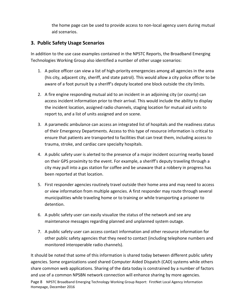the home page can be used to provide access to non-local agency users during mutual aid scenarios.

# **3. Public Safety Usage Scenarios**

In addition to the use case examples contained in the NPSTC Reports, the Broadband Emerging Technologies Working Group also identified a number of other usage scenarios:

- 1. A police officer can view a list of high-priority emergencies among all agencies in the area (his city, adjacent city, sheriff, and state patrol). This would allow a city police officer to be aware of a foot pursuit by a sheriff's deputy located one block outside the city limits.
- 2. A fire engine responding mutual aid to an incident in an adjoining city (or county) can access incident information prior to their arrival. This would include the ability to display the incident location, assigned radio channels, staging location for mutual aid units to report to, and a list of units assigned and on scene.
- 3. A paramedic ambulance can access an integrated list of hospitals and the readiness status of their Emergency Departments. Access to this type of resource information is critical to ensure that patients are transported to facilities that can treat them, including access to trauma, stroke, and cardiac care specialty hospitals.
- 4. A public safety user is alerted to the presence of a major incident occurring nearby based on their GPS proximity to the event. For example, a sheriff's deputy traveling through a city may pull into a gas station for coffee and be unaware that a robbery in progress has been reported at that location.
- 5. First responder agencies routinely travel outside their home area and may need to access or view information from multiple agencies. A first responder may route through several municipalities while traveling home or to training or while transporting a prisoner to detention.
- 6. A public safety user can easily visualize the status of the network and see any maintenance messages regarding planned and unplanned system outage.
- 7. A public safety user can access contact information and other resource information for other public safety agencies that they need to contact (including telephone numbers and monitored interoperable radio channels).

Page 8 NPSTC Broadband Emerging Technology Working Group Report: FirstNet Local Agency Information Homepage, December 2016 It should be noted that some of this information is shared today between different public safety agencies. Some organizations used shared Computer Aided Dispatch (CAD) systems while others share common web applications. Sharing of the data today is constrained by a number of factors and use of a common NPSBN network connection will enhance sharing by more agencies.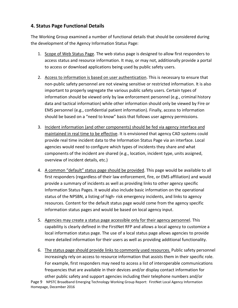# **4. Status Page Functional Details**

The Working Group examined a number of functional details that should be considered during the development of the Agency Information Status Page:

- 1. Scope of Web Status Page. The web status page is designed to allow first responders to access status and resource information. It may, or may not, additionally provide a portal to access or download applications being used by public safety users.
- 2. Access to information is based on user authentication. This is necessary to ensure that non-public safety personnel are not viewing sensitive or restricted information. It is also important to properly segregate the various public safety users. Certain types of information should be viewed only by law enforcement personnel (e.g., criminal history data and tactical information) while other information should only be viewed by Fire or EMS personnel (e.g., confidential patient information). Finally, access to information should be based on a "need to know" basis that follows user agency permissions.
- 3. Incident information (and other components) should be fed via agency interface and maintained in real time to be effective. It is envisioned that agency CAD systems could provide real time incident data to the Information Status Page via an interface. Local agencies would need to configure which types of incidents they share and what components of the incident are shared (e.g., location, incident type, units assigned, overview of incident details, etc.)
- 4. A common "default" status page should be provided. This page would be available to all first responders (regardless of their law enforcement, fire, or EMS affiliation) and would provide a summary of incidents as well as providing links to other agency specific Information Status Pages. It would also include basic information on the operational status of the NPSBN, a listing of high- risk emergency incidents, and links to agency resources. Content for the default status page would come from the agency specific information status pages and would be based on local agency input.
- 5. Agencies may create a status page accessible only for their agency personnel. This capability is clearly defined in the FirstNet RFP and allows a local agency to customize a local information status page. The use of a local status page allows agencies to provide more detailed information for their users as well as providing additional functionality.
- Page 9 NPSTC Broadband Emerging Technology Working Group Report: FirstNet Local Agency Information 6. The status page should provide links to commonly used resources. Public safety personnel increasingly rely on access to resource information that assists them in their specific role. For example, first responders may need to access a list of interoperable communications frequencies that are available in their devices and/or display contact information for other public safety and support agencies including their telephone numbers and/or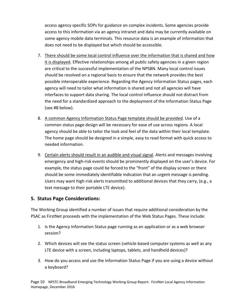access agency specific SOPs for guidance on complex incidents. Some agencies provide access to this information via an agency intranet and data may be currently available on some agency mobile data terminals. This resource data is an example of information that does not need to be displayed but which should be accessible.

- 7. There should be some local control influence over the information that is shared and how it is displayed. Effective relationships among all public safety agencies in a given region are critical to the successful implementation of the NPSBN. Many local control issues should be resolved on a regional basis to ensure that the network provides the best possible interoperable experience. Regarding the Agency Information Status pages, each agency will need to tailor what information is shared and not all agencies will have interfaces to support data sharing. The local control influence should not distract from the need for a standardized approach to the deployment of the Information Status Page (see #8 below).
- 8. A common Agency Information Status Page template should be provided. Use of a common status page design will be necessary for ease of use across regions. A local agency should be able to tailor the look and feel of the data within their local template. The home page should be designed in a simple, easy to read format with quick access to needed information.
- 9. Certain alerts should result in an audible and visual signal. Alerts and messages involving emergency and high-risk events should be prominently displayed on the user's device. For example, the status page could be forced to the "front" of the display screen or there should be some immediately identifiable indication that an urgent message is pending. Users may want high-risk alerts transmitted to additional devices that they carry, (e.g., a text message to their portable LTE device).

# **5. Status Page Considerations:**

The Working Group identified a number of issues that require additional consideration by the PSAC as FirstNet proceeds with the implementation of the Web Status Pages. These include:

- 1. Is the Agency Information Status page running as an application or as a web browser session?
- 2. Which devices will see the status screen (vehicle-based computer systems as well as any LTE device with a screen, including laptops, tablets, and handheld devices)?
- 3. How do you access and use the Information Status Page if you are using a device without a keyboard?

Page 10 NPSTC Broadband Emerging Technology Working Group Report: FirstNet Local Agency Information Homepage, December 2016